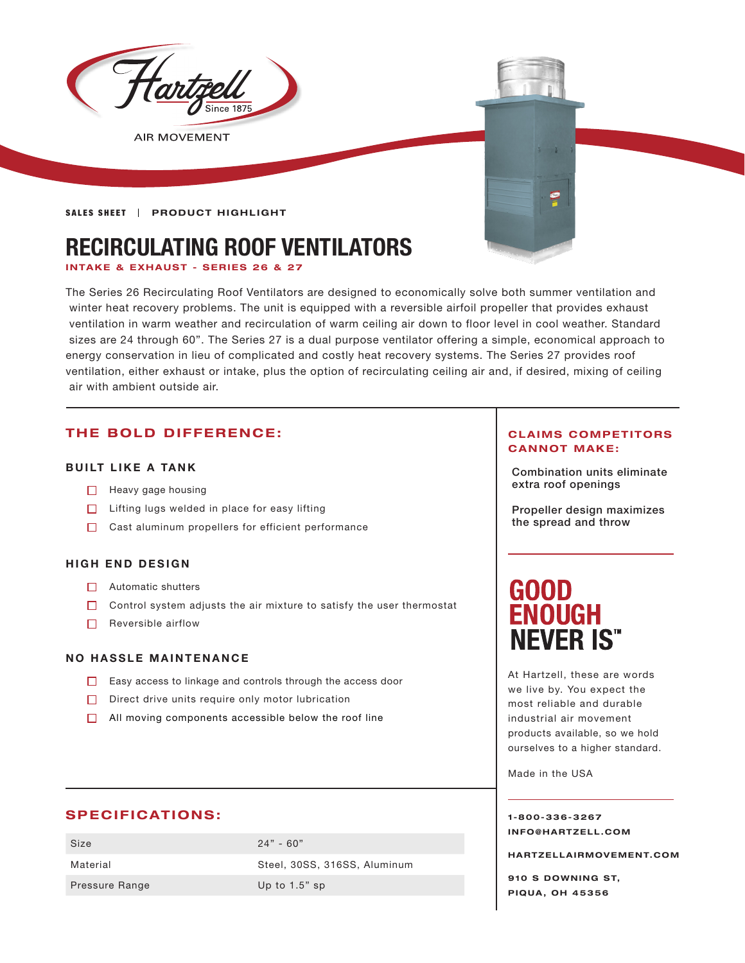

**SALES SHEET | PRODUCT HIGHLIGHT** 

# **RECIRCULATING ROOF VENTILATORS**

**INTAKE & EXHAUST - SERIES 26 & 27**

The Series 26 Recirculating Roof Ventilators are designed to economically solve both summer ventilation and winter heat recovery problems. The unit is equipped with a reversible airfoil propeller that provides exhaust ventilation in warm weather and recirculation of warm ceiling air down to floor level in cool weather. Standard sizes are 24 through 60". The Series 27 is a dual purpose ventilator offering a simple, economical approach to energy conservation in lieu of complicated and costly heat recovery systems. The Series 27 provides roof ventilation, either exhaust or intake, plus the option of recirculating ceiling air and, if desired, mixing of ceiling air with ambient outside air.

## **THE BOLD DIFFERENCE:**

#### **BUILT LIKE A TANK**

- 
- $\Box$  Lifting lugs welded in place for easy lifting
- □ Cast aluminum propellers for efficient performance

#### **HIGH END DESIGN**

- Automatic shutters
- $\Box$  Control system adjusts the air mixture to satisfy the user thermostat
- $\Box$  Reversible airflow

#### **NO HASSLE MAINTENANCE**

- Easy access to linkage and controls through the access door
- $\Box$  Direct drive units require only motor lubrication
- $\Box$  All moving components accessible below the roof line

### **SPECIFICATIONS:**

| Size           | $24" - 60"$                  |
|----------------|------------------------------|
| Material       | Steel, 30SS, 316SS, Aluminum |
| Pressure Range | Up to $1.5$ " sp             |

#### **CLAIMS COMPETITORS CANNOT MAKE:**

Combination units eliminate □ Heavy gage housing Network is a set of the set of the set of the set of the set of the set of the set of the set of the set of the set of the set of the set of the set of the set of the set of the set of the set of the

> Propeller design maximizes the spread and throw

# **GOOD ENOUGH NEVER IS"**

At Hartzell, these are words we live by. You expect the most reliable and durable industrial air movement products available, so we hold ourselves to a higher standard.

Made in the USA

**1-800-336-3267 I N F O @ H A R T Z E L L . C OM** 

**HARTZELLA IRMOVEMENT.COM**

**910 S DOWNING ST, PIQUA, OH 45356**